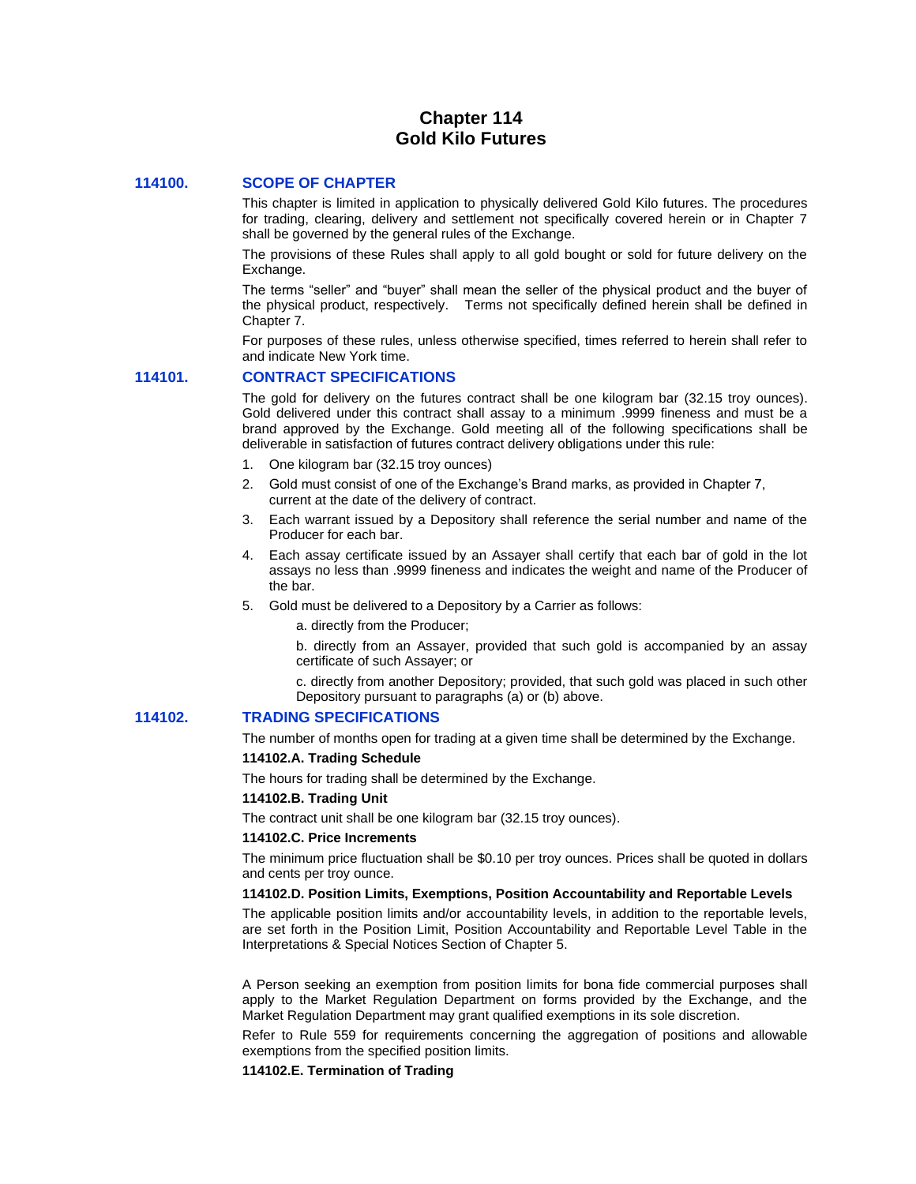# **Chapter 114 Gold Kilo Futures**

## **114100. SCOPE OF CHAPTER**

This chapter is limited in application to physically delivered Gold Kilo futures. The procedures for trading, clearing, delivery and settlement not specifically covered herein or in Chapter 7 shall be governed by the general rules of the Exchange.

The provisions of these Rules shall apply to all gold bought or sold for future delivery on the Exchange.

The terms "seller" and "buyer" shall mean the seller of the physical product and the buyer of the physical product, respectively. Terms not specifically defined herein shall be defined in Chapter 7.

For purposes of these rules, unless otherwise specified, times referred to herein shall refer to and indicate New York time.

## **114101. CONTRACT SPECIFICATIONS**

The gold for delivery on the futures contract shall be one kilogram bar (32.15 troy ounces). Gold delivered under this contract shall assay to a minimum .9999 fineness and must be a brand approved by the Exchange. Gold meeting all of the following specifications shall be deliverable in satisfaction of futures contract delivery obligations under this rule:

- 1. One kilogram bar (32.15 troy ounces)
- 2. Gold must consist of one of the Exchange's Brand marks, as provided in Chapter 7, current at the date of the delivery of contract.
- 3. Each warrant issued by a Depository shall reference the serial number and name of the Producer for each bar.
- 4. Each assay certificate issued by an Assayer shall certify that each bar of gold in the lot assays no less than .9999 fineness and indicates the weight and name of the Producer of the bar.
- 5. Gold must be delivered to a Depository by a Carrier as follows:

a. directly from the Producer;

b. directly from an Assayer, provided that such gold is accompanied by an assay certificate of such Assayer; or

c. directly from another Depository; provided, that such gold was placed in such other Depository pursuant to paragraphs (a) or (b) above.

## **114102. TRADING SPECIFICATIONS**

The number of months open for trading at a given time shall be determined by the Exchange.

#### **114102.A. Trading Schedule**

The hours for trading shall be determined by the Exchange.

## **114102.B. Trading Unit**

The contract unit shall be one kilogram bar (32.15 troy ounces).

#### **114102.C. Price Increments**

The minimum price fluctuation shall be \$0.10 per troy ounces. Prices shall be quoted in dollars and cents per troy ounce.

#### **114102.D. Position Limits, Exemptions, Position Accountability and Reportable Levels**

The applicable position limits and/or accountability levels, in addition to the reportable levels, are set forth in the Position Limit, Position Accountability and Reportable Level Table in the Interpretations & Special Notices Section of Chapter 5.

A Person seeking an exemption from position limits for bona fide commercial purposes shall apply to the Market Regulation Department on forms provided by the Exchange, and the Market Regulation Department may grant qualified exemptions in its sole discretion.

Refer to Rule 559 for requirements concerning the aggregation of positions and allowable exemptions from the specified position limits.

## **114102.E. Termination of Trading**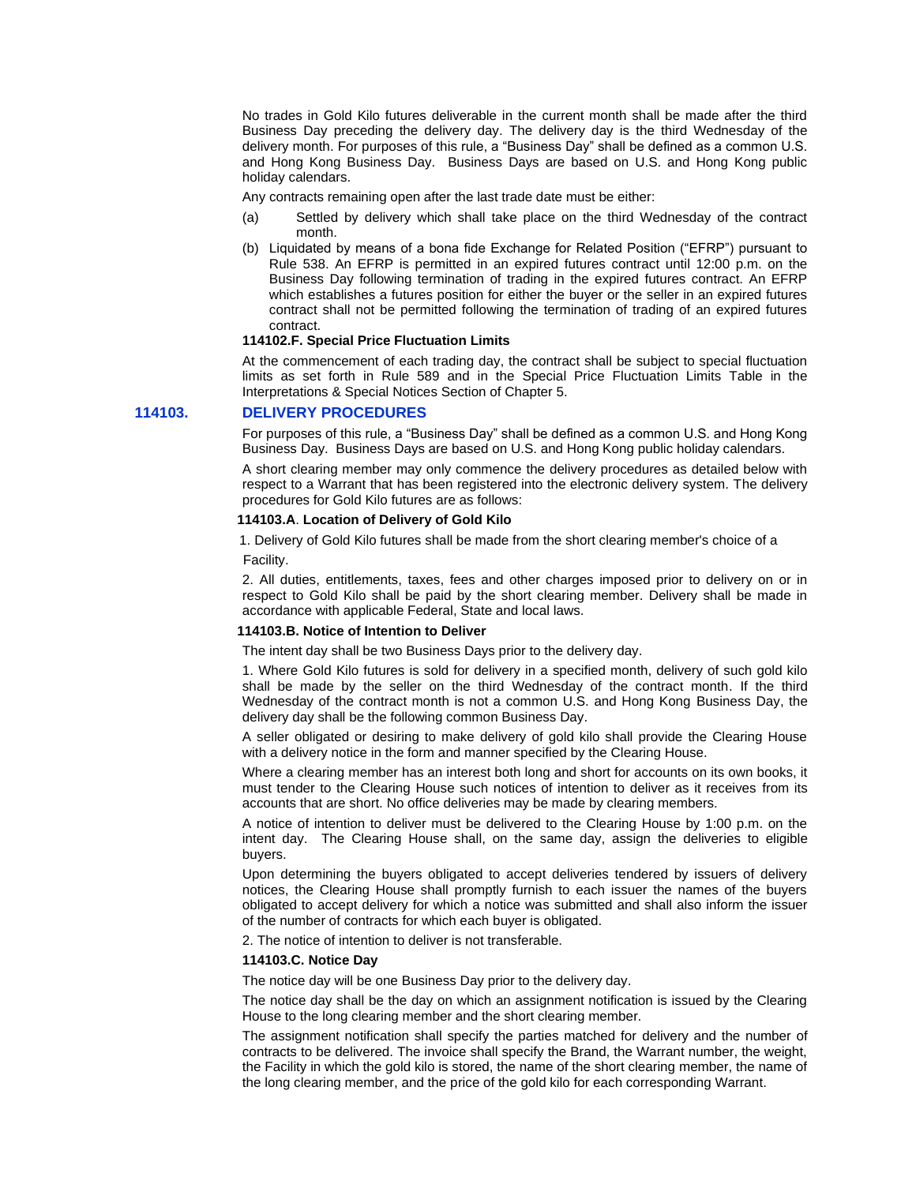No trades in Gold Kilo futures deliverable in the current month shall be made after the third Business Day preceding the delivery day. The delivery day is the third Wednesday of the delivery month. For purposes of this rule, a "Business Day" shall be defined as a common U.S. and Hong Kong Business Day. Business Days are based on U.S. and Hong Kong public holiday calendars.

- Any contracts remaining open after the last trade date must be either:
- (a) Settled by delivery which shall take place on the third Wednesday of the contract month.
- (b) Liquidated by means of a bona fide Exchange for Related Position ("EFRP") pursuant to Rule 538. An EFRP is permitted in an expired futures contract until 12:00 p.m. on the Business Day following termination of trading in the expired futures contract. An EFRP which establishes a futures position for either the buyer or the seller in an expired futures contract shall not be permitted following the termination of trading of an expired futures contract.

#### **114102.F. Special Price Fluctuation Limits**

At the commencement of each trading day, the contract shall be subject to special fluctuation limits as set forth in Rule 589 and in the Special Price Fluctuation Limits Table in the Interpretations & Special Notices Section of Chapter 5.

## **114103. DELIVERY PROCEDURES**

For purposes of this rule, a "Business Day" shall be defined as a common U.S. and Hong Kong Business Day. Business Days are based on U.S. and Hong Kong public holiday calendars.

A short clearing member may only commence the delivery procedures as detailed below with respect to a Warrant that has been registered into the electronic delivery system. The delivery procedures for Gold Kilo futures are as follows:

#### **114103.A**. **Location of Delivery of Gold Kilo**

1. Delivery of Gold Kilo futures shall be made from the short clearing member's choice of a Facility.

2. All duties, entitlements, taxes, fees and other charges imposed prior to delivery on or in respect to Gold Kilo shall be paid by the short clearing member. Delivery shall be made in accordance with applicable Federal, State and local laws.

#### **114103.B. Notice of Intention to Deliver**

The intent day shall be two Business Days prior to the delivery day.

1. Where Gold Kilo futures is sold for delivery in a specified month, delivery of such gold kilo shall be made by the seller on the third Wednesday of the contract month. If the third Wednesday of the contract month is not a common U.S. and Hong Kong Business Day, the delivery day shall be the following common Business Day.

A seller obligated or desiring to make delivery of gold kilo shall provide the Clearing House with a delivery notice in the form and manner specified by the Clearing House.

Where a clearing member has an interest both long and short for accounts on its own books, it must tender to the Clearing House such notices of intention to deliver as it receives from its accounts that are short. No office deliveries may be made by clearing members.

A notice of intention to deliver must be delivered to the Clearing House by 1:00 p.m. on the intent day. The Clearing House shall, on the same day, assign the deliveries to eligible buyers.

Upon determining the buyers obligated to accept deliveries tendered by issuers of delivery notices, the Clearing House shall promptly furnish to each issuer the names of the buyers obligated to accept delivery for which a notice was submitted and shall also inform the issuer of the number of contracts for which each buyer is obligated.

2. The notice of intention to deliver is not transferable.

## **114103.C. Notice Day**

The notice day will be one Business Day prior to the delivery day.

The notice day shall be the day on which an assignment notification is issued by the Clearing House to the long clearing member and the short clearing member.

The assignment notification shall specify the parties matched for delivery and the number of contracts to be delivered. The invoice shall specify the Brand, the Warrant number, the weight, the Facility in which the gold kilo is stored, the name of the short clearing member, the name of the long clearing member, and the price of the gold kilo for each corresponding Warrant.